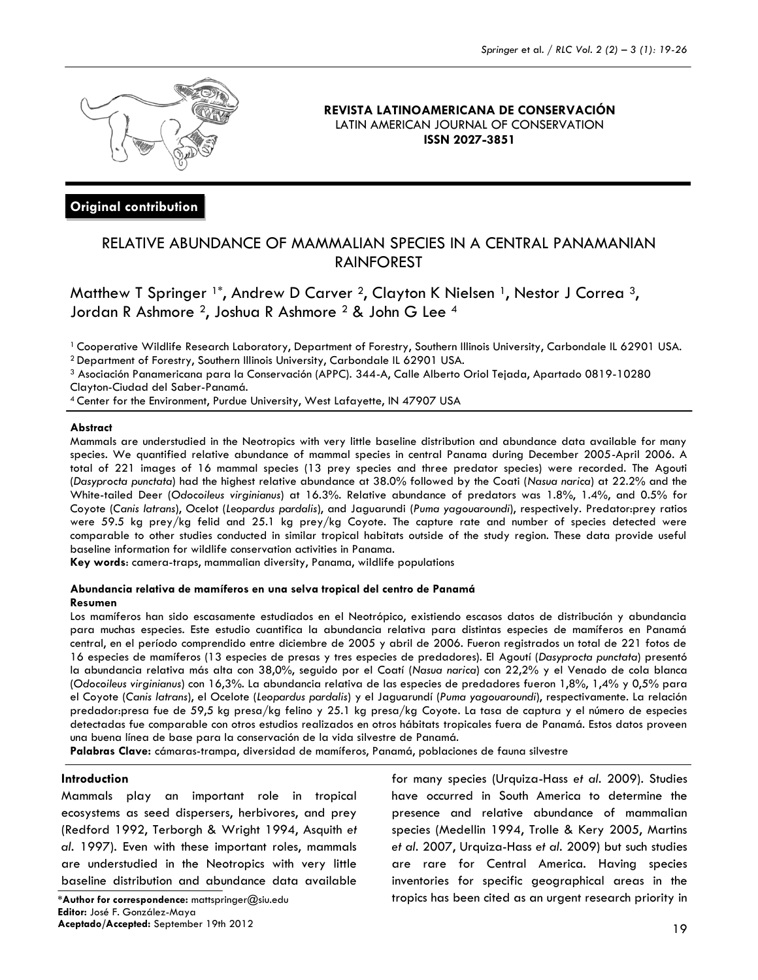

## **REVISTA LATINOAMERICANA DE CONSERVACIÓN** LATIN AMERICAN JOURNAL OF CONSERVATION **ISSN 2027-3851**

# **Original contribution**

# RELATIVE ABUNDANCE OF MAMMALIAN SPECIES IN A CENTRAL PANAMANIAN RAINFOREST

Matthew T Springer <sup>1\*</sup>, Andrew D Carver <sup>2</sup>, Clayton K Nielsen <sup>1</sup>, Nestor J Correa <sup>3</sup>, Jordan R Ashmore <sup>2</sup>, Joshua R Ashmore <sup>2</sup> & John G Lee <sup>4</sup>

<sup>1</sup> Cooperative Wildlife Research Laboratory, Department of Forestry, Southern Illinois University, Carbondale IL 62901 USA.

<sup>2</sup> Department of Forestry, Southern Illinois University, Carbondale IL 62901 USA.

<sup>3</sup> Asociación Panamericana para la Conservación (APPC). 344-A, Calle Alberto Oriol Tejada, Apartado 0819-10280 Clayton-Ciudad del Saber-Panamá.

<sup>4</sup>Center for the Environment, Purdue University, West Lafayette, IN 47907 USA

### **Abstract**

Mammals are understudied in the Neotropics with very little baseline distribution and abundance data available for many species. We quantified relative abundance of mammal species in central Panama during December 2005-April 2006. A total of 221 images of 16 mammal species (13 prey species and three predator species) were recorded. The Agouti (*Dasyprocta punctata*) had the highest relative abundance at 38.0% followed by the Coati (*Nasua narica*) at 22.2% and the White-tailed Deer (*Odocoileus virginianus*) at 16.3%. Relative abundance of predators was 1.8%, 1.4%, and 0.5% for Coyote (*Canis latrans*), Ocelot (*Leopardus pardalis*), and Jaguarundi (*Puma yagouaroundi*), respectively. Predator:prey ratios were 59.5 kg prey/kg felid and 25.1 kg prey/kg Coyote. The capture rate and number of species detected were comparable to other studies conducted in similar tropical habitats outside of the study region. These data provide useful baseline information for wildlife conservation activities in Panama.

**Key words**: camera-traps, mammalian diversity, Panama, wildlife populations

### **Abundancia relativa de mamíferos en una selva tropical del centro de Panamá Resumen**

Los mamíferos han sido escasamente estudiados en el Neotrópico, existiendo escasos datos de distribución y abundancia para muchas especies. Este estudio cuantifica la abundancia relativa para distintas especies de mamíferos en Panamá central, en el período comprendido entre diciembre de 2005 y abril de 2006. Fueron registrados un total de 221 fotos de 16 especies de mamíferos (13 especies de presas y tres especies de predadores). El Agoutí (*Dasyprocta punctata*) presentó la abundancia relativa más alta con 38,0%, seguido por el Coatí (*Nasua narica*) con 22,2% y el Venado de cola blanca (*Odocoileus virginianus*) con 16,3%. La abundancia relativa de las especies de predadores fueron 1,8%, 1,4% y 0,5% para el Coyote (*Canis latrans*), el Ocelote (*Leopardus pardalis*) y el Jaguarundí (*Puma yagouaroundi*), respectivamente. La relación predador:presa fue de 59,5 kg presa/kg felino y 25.1 kg presa/kg Coyote. La tasa de captura y el número de especies detectadas fue comparable con otros estudios realizados en otros hábitats tropicales fuera de Panamá. Estos datos proveen una buena línea de base para la conservación de la vida silvestre de Panamá.

**Palabras Clave:** cámaras-trampa, diversidad de mamíferos, Panamá, poblaciones de fauna silvestre

## **Introduction**

Mammals play an important role in tropical ecosystems as seed dispersers, herbivores, and prey (Redford 1992, Terborgh & Wright 1994, Asquith *et al.* 1997). Even with these important roles, mammals are understudied in the Neotropics with very little baseline distribution and abundance data available

**Editor:** José F. González-Maya **Aceptado/Accepted:** September 19th 2012

for many species (Urquiza-Hass *et al.* 2009). Studies have occurred in South America to determine the presence and relative abundance of mammalian species (Medellin 1994, Trolle & Kery 2005, Martins *et al.* 2007, Urquiza-Hass *et al.* 2009) but such studies are rare for Central America. Having species inventories for specific geographical areas in the **\*Author for correspondence:** mattspringer@siu.edu tropics has been cited as an urgent research priority in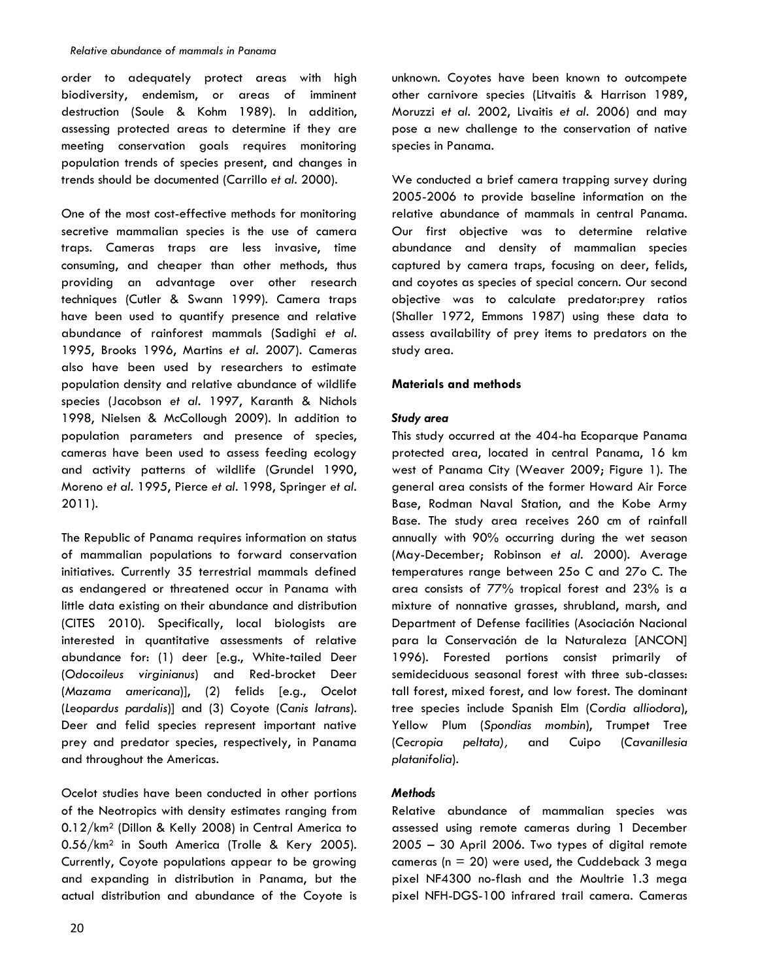order to adequately protect areas with high biodiversity, endemism, or areas of imminent destruction (Soule & Kohm 1989). In addition, assessing protected areas to determine if they are meeting conservation goals requires monitoring population trends of species present, and changes in trends should be documented (Carrillo *et al.* 2000).

One of the most cost-effective methods for monitoring secretive mammalian species is the use of camera traps. Cameras traps are less invasive, time consuming, and cheaper than other methods, thus providing an advantage over other research techniques (Cutler & Swann 1999). Camera traps have been used to quantify presence and relative abundance of rainforest mammals (Sadighi *et al.* 1995, Brooks 1996, Martins *et al.* 2007). Cameras also have been used by researchers to estimate population density and relative abundance of wildlife species (Jacobson *et al.* 1997, Karanth & Nichols 1998, Nielsen & McCollough 2009). In addition to population parameters and presence of species, cameras have been used to assess feeding ecology and activity patterns of wildlife (Grundel 1990, Moreno *et al.* 1995, Pierce *et al.* 1998, Springer *et al.* 2011).

The Republic of Panama requires information on status of mammalian populations to forward conservation initiatives. Currently 35 terrestrial mammals defined as endangered or threatened occur in Panama with little data existing on their abundance and distribution (CITES 2010). Specifically, local biologists are interested in quantitative assessments of relative abundance for: (1) deer [e.g., White-tailed Deer (*Odocoileus virginianus*) and Red-brocket Deer (*Mazama americana*)], (2) felids [e.g., Ocelot (*Leopardus pardalis*)] and (3) Coyote (*Canis latrans*). Deer and felid species represent important native prey and predator species, respectively, in Panama and throughout the Americas.

Ocelot studies have been conducted in other portions of the Neotropics with density estimates ranging from 0.12/km<sup>2</sup> (Dillon & Kelly 2008) in Central America to 0.56/km<sup>2</sup> in South America (Trolle & Kery 2005). Currently, Coyote populations appear to be growing and expanding in distribution in Panama, but the actual distribution and abundance of the Coyote is unknown. Coyotes have been known to outcompete other carnivore species (Litvaitis & Harrison 1989, Moruzzi *et al.* 2002, Livaitis *et al.* 2006) and may pose a new challenge to the conservation of native species in Panama.

We conducted a brief camera trapping survey during 2005-2006 to provide baseline information on the relative abundance of mammals in central Panama. Our first objective was to determine relative abundance and density of mammalian species captured by camera traps, focusing on deer, felids, and coyotes as species of special concern. Our second objective was to calculate predator:prey ratios (Shaller 1972, Emmons 1987) using these data to assess availability of prey items to predators on the study area.

# **Materials and methods**

# *Study area*

This study occurred at the 404-ha Ecoparque Panama protected area, located in central Panama, 16 km west of Panama City (Weaver 2009; Figure 1). The general area consists of the former Howard Air Force Base, Rodman Naval Station, and the Kobe Army Base. The study area receives 260 cm of rainfall annually with 90% occurring during the wet season (May-December; Robinson *et al.* 2000). Average temperatures range between 25o C and 27o C. The area consists of 77% tropical forest and 23% is a mixture of nonnative grasses, shrubland, marsh, and Department of Defense facilities (Asociación Nacional para la Conservación de la Naturaleza [ANCON] 1996). Forested portions consist primarily of semideciduous seasonal forest with three sub-classes: tall forest, mixed forest, and low forest. The dominant tree species include Spanish Elm (*Cordia alliodora*), Yellow Plum (*Spondias mombin*), Trumpet Tree (*Cecropia peltata),* and Cuipo (*Cavanillesia platanifolia*).

# *Methods*

Relative abundance of mammalian species was assessed using remote cameras during 1 December 2005 – 30 April 2006. Two types of digital remote cameras ( $n = 20$ ) were used, the Cuddeback 3 mega pixel NF4300 no-flash and the Moultrie 1.3 mega pixel NFH-DGS-100 infrared trail camera. Cameras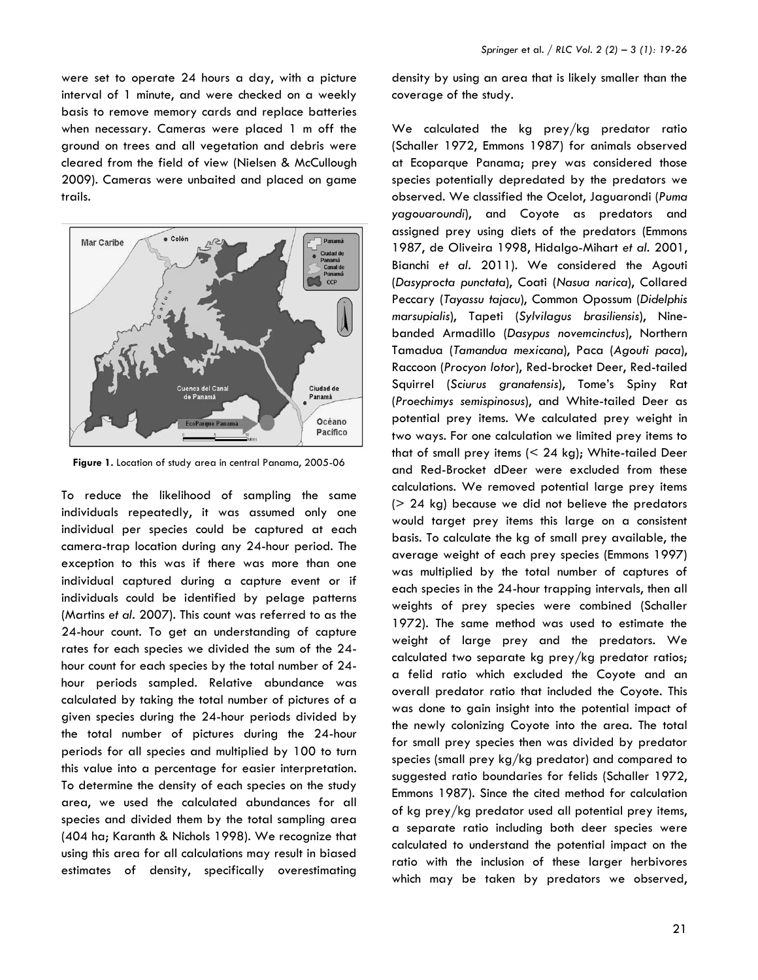were set to operate 24 hours a day, with a picture interval of 1 minute, and were checked on a weekly basis to remove memory cards and replace batteries when necessary. Cameras were placed 1 m off the ground on trees and all vegetation and debris were cleared from the field of view (Nielsen & McCullough 2009). Cameras were unbaited and placed on game trails.



**Figure 1.** Location of study area in central Panama, 2005-06

To reduce the likelihood of sampling the same individuals repeatedly, it was assumed only one individual per species could be captured at each camera-trap location during any 24-hour period. The exception to this was if there was more than one individual captured during a capture event or if individuals could be identified by pelage patterns (Martins *et al.* 2007). This count was referred to as the 24-hour count. To get an understanding of capture rates for each species we divided the sum of the 24 hour count for each species by the total number of 24 hour periods sampled. Relative abundance was calculated by taking the total number of pictures of a given species during the 24-hour periods divided by the total number of pictures during the 24-hour periods for all species and multiplied by 100 to turn this value into a percentage for easier interpretation. To determine the density of each species on the study area, we used the calculated abundances for all species and divided them by the total sampling area (404 ha; Karanth & Nichols 1998). We recognize that using this area for all calculations may result in biased estimates of density, specifically overestimating

density by using an area that is likely smaller than the coverage of the study.

We calculated the kg prey/kg predator ratio (Schaller 1972, Emmons 1987) for animals observed at Ecoparque Panama; prey was considered those species potentially depredated by the predators we observed. We classified the Ocelot, Jaguarondi (*Puma yagouaroundi*), and Coyote as predators and assigned prey using diets of the predators (Emmons 1987, de Oliveira 1998, Hidalgo-Mihart *et al.* 2001, Bianchi *et al.* 2011). We considered the Agouti (*Dasyprocta punctata*), Coati (*Nasua narica*), Collared Peccary (*Tayassu tajacu*), Common Opossum (*Didelphis marsupialis*), Tapeti (*Sylvilagus brasiliensis*), Ninebanded Armadillo (*Dasypus novemcinctus*), Northern Tamadua (*Tamandua mexicana*), Paca (*Agouti paca*), Raccoon (*Procyon lotor*), Red-brocket Deer, Red-tailed Squirrel (*Sciurus granatensis*), Tome's Spiny Rat (*Proechimys semispinosus*), and White-tailed Deer as potential prey items. We calculated prey weight in two ways. For one calculation we limited prey items to that of small prey items  $(< 24$  kg); White-tailed Deer and Red-Brocket dDeer were excluded from these calculations. We removed potential large prey items (> 24 kg) because we did not believe the predators would target prey items this large on a consistent basis. To calculate the kg of small prey available, the average weight of each prey species (Emmons 1997) was multiplied by the total number of captures of each species in the 24-hour trapping intervals, then all weights of prey species were combined (Schaller 1972). The same method was used to estimate the weight of large prey and the predators. We calculated two separate kg prey/kg predator ratios; a felid ratio which excluded the Coyote and an overall predator ratio that included the Coyote. This was done to gain insight into the potential impact of the newly colonizing Coyote into the area. The total for small prey species then was divided by predator species (small prey kg/kg predator) and compared to suggested ratio boundaries for felids (Schaller 1972, Emmons 1987). Since the cited method for calculation of kg prey/kg predator used all potential prey items, a separate ratio including both deer species were calculated to understand the potential impact on the ratio with the inclusion of these larger herbivores which may be taken by predators we observed,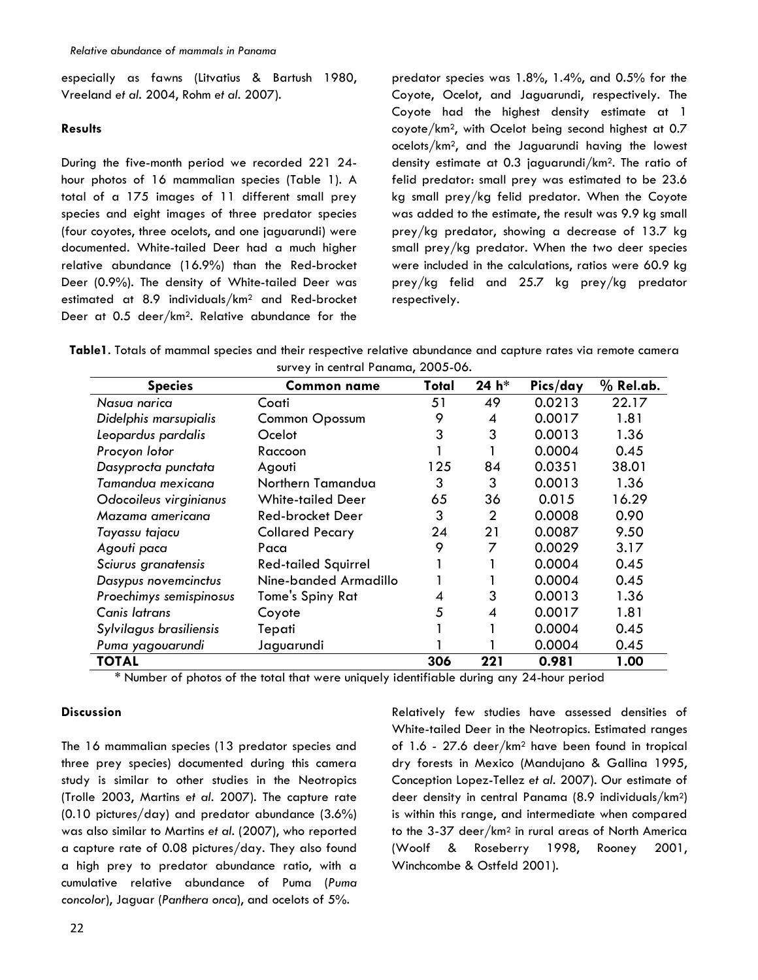especially as fawns (Litvatius & Bartush 1980, Vreeland *et al.* 2004, Rohm *et al.* 2007).

## **Results**

During the five-month period we recorded 221 24 hour photos of 16 mammalian species (Table 1). A total of a 175 images of 11 different small prey species and eight images of three predator species (four coyotes, three ocelots, and one jaguarundi) were documented. White-tailed Deer had a much higher relative abundance (16.9%) than the Red-brocket Deer (0.9%). The density of White-tailed Deer was estimated at 8.9 individuals/km<sup>2</sup> and Red-brocket Deer at 0.5 deer/km2. Relative abundance for the predator species was 1.8%, 1.4%, and 0.5% for the Coyote, Ocelot, and Jaguarundi, respectively. The Coyote had the highest density estimate at 1 coyote/km2, with Ocelot being second highest at 0.7 ocelots/km2, and the Jaguarundi having the lowest density estimate at 0.3 jaguarundi/km2. The ratio of felid predator: small prey was estimated to be 23.6 kg small prey/kg felid predator. When the Coyote was added to the estimate, the result was 9.9 kg small prey/kg predator, showing a decrease of 13.7 kg small prey/kg predator. When the two deer species were included in the calculations, ratios were 60.9 kg prey/kg felid and 25.7 kg prey/kg predator respectively.

**Table1**. Totals of mammal species and their respective relative abundance and capture rates via remote camera survey in central Panama, 2005-06.

| <b>Species</b>          | $301107$ in community and $400000000$<br><b>Common name</b> | Total | 24 h*          | Pics/day | $%$ Rel.ab. |
|-------------------------|-------------------------------------------------------------|-------|----------------|----------|-------------|
| Nasua narica            | Coati                                                       | 51    | 49             | 0.0213   | 22.17       |
| Didelphis marsupialis   | <b>Common Opossum</b>                                       | 9     | 4              | 0.0017   | 1.81        |
| Leopardus pardalis      | Ocelot                                                      | 3     | 3              | 0.0013   | 1.36        |
| Procyon lotor           | Raccoon                                                     |       |                | 0.0004   | 0.45        |
| Dasyprocta punctata     | Agouti                                                      | 125   | 84             | 0.0351   | 38.01       |
| Tamandua mexicana       | Northern Tamandua                                           | 3     | 3              | 0.0013   | 1.36        |
| Odocoileus virginianus  | <b>White-tailed Deer</b>                                    | 65    | 36             | 0.015    | 16.29       |
| Mazama americana        | Red-brocket Deer                                            | 3     | $\overline{2}$ | 0.0008   | 0.90        |
| Tayassu tajacu          | <b>Collared Pecary</b>                                      | 24    | 21             | 0.0087   | 9.50        |
| Agouti paca             | Paca                                                        | 9     | 7              | 0.0029   | 3.17        |
| Sciurus granatensis     | <b>Red-tailed Squirrel</b>                                  |       |                | 0.0004   | 0.45        |
| Dasypus novemcinctus    | Nine-banded Armadillo                                       |       |                | 0.0004   | 0.45        |
| Proechimys semispinosus | Tome's Spiny Rat                                            | 4     | 3              | 0.0013   | 1.36        |
| Canis latrans           | Coyote                                                      | 5     | 4              | 0.0017   | 1.81        |
| Sylvilagus brasiliensis | Tepati                                                      |       |                | 0.0004   | 0.45        |
| Puma yagouarundi        | Jaguarundi                                                  |       |                | 0.0004   | 0.45        |
| <b>TOTAL</b>            |                                                             | 306   | 221            | 0.981    | 1.00        |

\* Number of photos of the total that were uniquely identifiable during any 24-hour period

## **Discussion**

The 16 mammalian species (13 predator species and three prey species) documented during this camera study is similar to other studies in the Neotropics (Trolle 2003, Martins *et al.* 2007). The capture rate (0.10 pictures/day) and predator abundance (3.6%) was also similar to Martins *et al.* (2007), who reported a capture rate of 0.08 pictures/day. They also found a high prey to predator abundance ratio, with a cumulative relative abundance of Puma (*Puma concolor*), Jaguar (*Panthera onca*), and ocelots of 5%.

Relatively few studies have assessed densities of White-tailed Deer in the Neotropics. Estimated ranges of 1.6 - 27.6 deer/km<sup>2</sup> have been found in tropical dry forests in Mexico (Mandujano & Gallina 1995, Conception Lopez-Tellez *et al.* 2007). Our estimate of deer density in central Panama (8.9 individuals/km2) is within this range, and intermediate when compared to the 3-37 deer/km<sup>2</sup> in rural areas of North America (Woolf & Roseberry 1998, Rooney 2001, Winchcombe & Ostfeld 2001).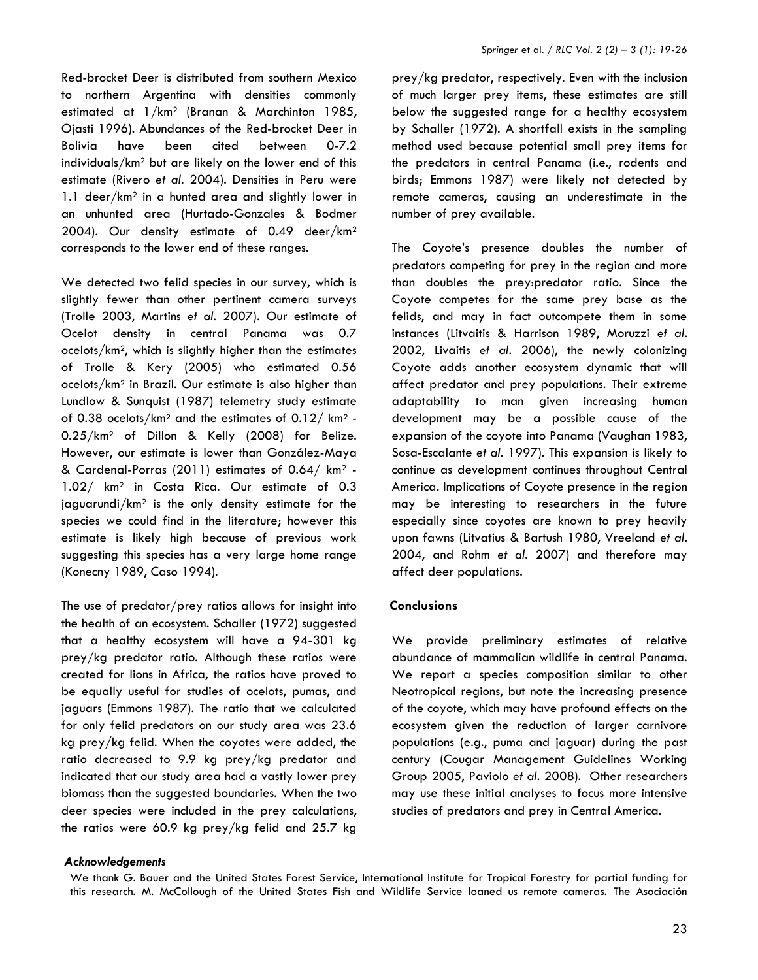Red-brocket Deer is distributed from southern Mexico to northern Argentina with densities commonly estimated at 1/km<sup>2</sup> (Branan & Marchinton 1985, Ojasti 1996). Abundances of the Red-brocket Deer in Bolivia have been cited between 0-7.2 individuals/km<sup>2</sup> but are likely on the lower end of this estimate (Rivero *et al.* 2004). Densities in Peru were 1.1 deer/km<sup>2</sup> in a hunted area and slightly lower in an unhunted area (Hurtado-Gonzales & Bodmer 2004). Our density estimate of 0.49 deer/km<sup>2</sup> corresponds to the lower end of these ranges.

We detected two felid species in our survey, which is slightly fewer than other pertinent camera surveys (Trolle 2003, Martins *et al.* 2007). Our estimate of Ocelot density in central Panama was 0.7 ocelots/km2, which is slightly higher than the estimates of Trolle & Kery (2005) who estimated 0.56 ocelots/km<sup>2</sup> in Brazil. Our estimate is also higher than Lundlow & Sunquist (1987) telemetry study estimate of 0.38 ocelots/km<sup>2</sup> and the estimates of 0.12/ km<sup>2</sup> - 0.25/km<sup>2</sup> of Dillon & Kelly (2008) for Belize. However, our estimate is lower than González-Maya & Cardenal-Porras (2011) estimates of 0.64/ km<sup>2</sup> - 1.02/ km<sup>2</sup> in Costa Rica. Our estimate of 0.3 jaguarundi/km<sup>2</sup> is the only density estimate for the species we could find in the literature; however this estimate is likely high because of previous work suggesting this species has a very large home range (Konecny 1989, Caso 1994).

The use of predator/prey ratios allows for insight into the health of an ecosystem. Schaller (1972) suggested that a healthy ecosystem will have a 94-301 kg prey/kg predator ratio. Although these ratios were created for lions in Africa, the ratios have proved to be equally useful for studies of ocelots, pumas, and jaguars (Emmons 1987). The ratio that we calculated for only felid predators on our study area was 23.6 kg prey/kg felid. When the coyotes were added, the ratio decreased to 9.9 kg prey/kg predator and indicated that our study area had a vastly lower prey biomass than the suggested boundaries. When the two deer species were included in the prey calculations, the ratios were 60.9 kg prey/kg felid and 25.7 kg

#### *Acknowledgements*

prey/kg predator, respectively. Even with the inclusion of much larger prey items, these estimates are still below the suggested range for a healthy ecosystem by Schaller (1972). A shortfall exists in the sampling method used because potential small prey items for the predators in central Panama (i.e., rodents and birds; Emmons 1987) were likely not detected by remote cameras, causing an underestimate in the number of prey available.

The Coyote's presence doubles the number of predators competing for prey in the region and more than doubles the prey:predator ratio. Since the Coyote competes for the same prey base as the felids, and may in fact outcompete them in some instances (Litvaitis & Harrison 1989, Moruzzi *et al.* 2002, Livaitis *et al.* 2006), the newly colonizing Coyote adds another ecosystem dynamic that will affect predator and prey populations. Their extreme adaptability to man given increasing human development may be a possible cause of the expansion of the coyote into Panama (Vaughan 1983, Sosa-Escalante *et al.* 1997). This expansion is likely to continue as development continues throughout Central America. Implications of Coyote presence in the region may be interesting to researchers in the future especially since coyotes are known to prey heavily upon fawns (Litvatius & Bartush 1980, Vreeland *et al.* 2004, and Rohm *et al.* 2007) and therefore may affect deer populations.

### **Conclusions**

We provide preliminary estimates of relative abundance of mammalian wildlife in central Panama. We report a species composition similar to other Neotropical regions, but note the increasing presence of the coyote, which may have profound effects on the ecosystem given the reduction of larger carnivore populations (e.g., puma and jaguar) during the past century (Cougar Management Guidelines Working Group 2005, Paviolo *et al.* 2008). Other researchers may use these initial analyses to focus more intensive studies of predators and prey in Central America.

We thank G. Bauer and the United States Forest Service, International Institute for Tropical Forestry for partial funding for this research. M. McCollough of the United States Fish and Wildlife Service loaned us remote cameras. The Asociación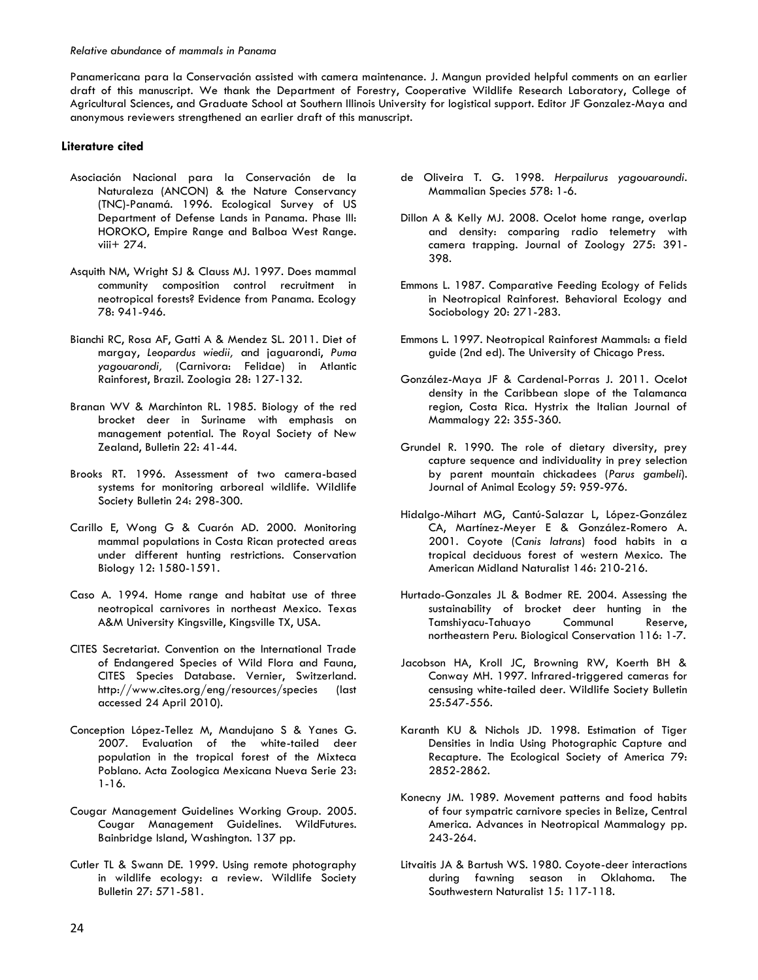Panamericana para la Conservación assisted with camera maintenance. J. Mangun provided helpful comments on an earlier draft of this manuscript. We thank the Department of Forestry, Cooperative Wildlife Research Laboratory, College of Agricultural Sciences, and Graduate School at Southern Illinois University for logistical support. Editor JF Gonzalez-Maya and anonymous reviewers strengthened an earlier draft of this manuscript.

### **Literature cited**

- Asociación Nacional para la Conservación de la Naturaleza (ANCON) & the Nature Conservancy (TNC)-Panamá. 1996. Ecological Survey of US Department of Defense Lands in Panama. Phase III: HOROKO, Empire Range and Balboa West Range. viii+ 274.
- Asquith NM, Wright SJ & Clauss MJ. 1997. Does mammal community composition control recruitment in neotropical forests? Evidence from Panama. Ecology 78: 941-946.
- Bianchi RC, Rosa AF, Gatti A & Mendez SL. 2011. Diet of margay, *Leopardus wiedii,* and jaguarondi, *Puma yagouarondi,* (Carnivora: Felidae) in Atlantic Rainforest, Brazil. Zoologia 28: 127-132.
- Branan WV & Marchinton RL. 1985. Biology of the red brocket deer in Suriname with emphasis on management potential. The Royal Society of New Zealand, Bulletin 22: 41-44.
- Brooks RT. 1996. Assessment of two camera-based systems for monitoring arboreal wildlife. Wildlife Society Bulletin 24: 298-300.
- Carillo E, Wong G & Cuarón AD. 2000. Monitoring mammal populations in Costa Rican protected areas under different hunting restrictions. Conservation Biology 12: 1580-1591.
- Caso A. 1994. Home range and habitat use of three neotropical carnivores in northeast Mexico. Texas A&M University Kingsville, Kingsville TX, USA.
- CITES Secretariat. Convention on the International Trade of Endangered Species of Wild Flora and Fauna, CITES Species Database. Vernier, Switzerland. http://www.cites.org/eng/resources/species (last accessed 24 April 2010).
- Conception López-Tellez M, Mandujano S & Yanes G. 2007. Evaluation of the white-tailed deer population in the tropical forest of the Mixteca Poblano. Acta Zoologica Mexicana Nueva Serie 23: 1-16.
- Cougar Management Guidelines Working Group. 2005. Cougar Management Guidelines. WildFutures. Bainbridge Island, Washington. 137 pp.
- Cutler TL & Swann DE. 1999. Using remote photography in wildlife ecology: a review. Wildlife Society Bulletin 27: 571-581.
- de Oliveira T. G. 1998. *Herpailurus yagouaroundi*. Mammalian Species 578: 1-6.
- Dillon A & Kelly MJ. 2008. Ocelot home range, overlap and density: comparing radio telemetry with camera trapping. Journal of Zoology 275: 391- 398.
- Emmons L. 1987. Comparative Feeding Ecology of Felids in Neotropical Rainforest. Behavioral Ecology and Sociobology 20: 271-283.
- Emmons L. 1997. Neotropical Rainforest Mammals: a field guide (2nd ed). The University of Chicago Press.
- González-Maya JF & Cardenal-Porras J. 2011. Ocelot density in the Caribbean slope of the Talamanca region, Costa Rica. Hystrix the Italian Journal of Mammalogy 22: 355-360.
- Grundel R. 1990. The role of dietary diversity, prey capture sequence and individuality in prey selection by parent mountain chickadees (*Parus gambeli*). Journal of Animal Ecology 59: 959-976.
- Hidalgo-Mihart MG, Cantú-Salazar L, López-González CA, Martínez-Meyer E & González-Romero A. 2001. Coyote (*Canis latrans*) food habits in a tropical deciduous forest of western Mexico. The American Midland Naturalist 146: 210-216.
- Hurtado-Gonzales JL & Bodmer RE. 2004. Assessing the sustainability of brocket deer hunting in the Tamshiyacu-Tahuayo Communal Reserve, northeastern Peru. Biological Conservation 116: 1-7.
- Jacobson HA, Kroll JC, Browning RW, Koerth BH & Conway MH. 1997. Infrared-triggered cameras for censusing white-tailed deer. Wildlife Society Bulletin 25:547-556.
- Karanth KU & Nichols JD. 1998. Estimation of Tiger Densities in India Using Photographic Capture and Recapture. The Ecological Society of America 79: 2852-2862.
- Konecny JM. 1989. Movement patterns and food habits of four sympatric carnivore species in Belize, Central America. Advances in Neotropical Mammalogy pp. 243-264.
- Litvaitis JA & Bartush WS. 1980. Coyote-deer interactions during fawning season in Oklahoma. The Southwestern Naturalist 15: 117-118.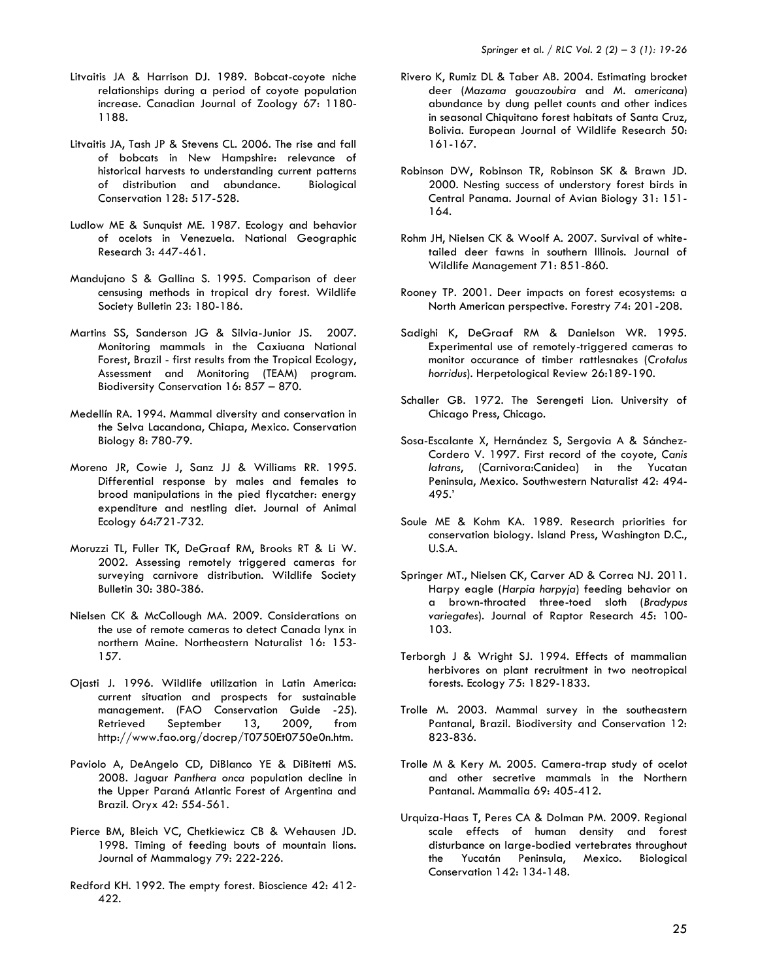- Litvaitis JA & Harrison DJ. 1989. Bobcat-coyote niche relationships during a period of coyote population increase. Canadian Journal of Zoology 67: 1180- 1188.
- Litvaitis JA, Tash JP & Stevens CL. 2006. The rise and fall of bobcats in New Hampshire: relevance of historical harvests to understanding current patterns of distribution and abundance. Biological Conservation 128: 517-528.
- Ludlow ME & Sunquist ME. 1987. Ecology and behavior of ocelots in Venezuela. National Geographic Research 3: 447-461.
- Mandujano S & Gallina S. 1995. Comparison of deer censusing methods in tropical dry forest. Wildlife Society Bulletin 23: 180-186.
- Martins SS, Sanderson JG & Silvia-Junior JS. 2007. Monitoring mammals in the Caxiuana National Forest, Brazil - first results from the Tropical Ecology, Assessment and Monitoring (TEAM) program. Biodiversity Conservation 16: 857 – 870.
- Medellín RA. 1994. Mammal diversity and conservation in the Selva Lacandona, Chiapa, Mexico. Conservation Biology 8: 780-79.
- Moreno JR, Cowie J, Sanz JJ & Williams RR. 1995. Differential response by males and females to brood manipulations in the pied flycatcher: energy expenditure and nestling diet. Journal of Animal Ecology 64:721-732.
- Moruzzi TL, Fuller TK, DeGraaf RM, Brooks RT & Li W. 2002. Assessing remotely triggered cameras for surveying carnivore distribution. Wildlife Society Bulletin 30: 380-386.
- Nielsen CK & McCollough MA. 2009. Considerations on the use of remote cameras to detect Canada lynx in northern Maine. Northeastern Naturalist 16: 153- 157.
- Ojasti J. 1996. Wildlife utilization in Latin America: current situation and prospects for sustainable management. (FAO Conservation Guide -25). Retrieved September 13, 2009, from http://www.fao.org/docrep/T0750Et0750e0n.htm.
- Paviolo A, DeAngelo CD, DiBlanco YE & DiBitetti MS. 2008. Jaguar *Panthera onca* population decline in the Upper Paraná Atlantic Forest of Argentina and Brazil. Oryx 42: 554-561.
- Pierce BM, Bleich VC, Chetkiewicz CB & Wehausen JD. 1998. Timing of feeding bouts of mountain lions. Journal of Mammalogy 79: 222-226.
- Redford KH. 1992. The empty forest. Bioscience 42: 412- 422.
- Rivero K, Rumiz DL & Taber AB. 2004. Estimating brocket deer (*Mazama gouazoubira* and *M. americana*) abundance by dung pellet counts and other indices in seasonal Chiquitano forest habitats of Santa Cruz, Bolivia. European Journal of Wildlife Research 50: 161-167.
- Robinson DW, Robinson TR, Robinson SK & Brawn JD. 2000. Nesting success of understory forest birds in Central Panama. Journal of Avian Biology 31: 151- 164.
- Rohm JH, Nielsen CK & Woolf A. 2007. Survival of whitetailed deer fawns in southern Illinois. Journal of Wildlife Management 71: 851-860.
- Rooney TP. 2001. Deer impacts on forest ecosystems: a North American perspective. Forestry 74: 201-208.
- Sadighi K, DeGraaf RM & Danielson WR. 1995. Experimental use of remotely-triggered cameras to monitor occurance of timber rattlesnakes (*Crotalus horridus*). Herpetological Review 26:189-190.
- Schaller GB. 1972. The Serengeti Lion. University of Chicago Press, Chicago.
- Sosa-Escalante X, Hernández S, Sergovia A & Sánchez-Cordero V. 1997. First record of the coyote, *Canis latrans*, (Carnivora:Canidea) in the Yucatan Peninsula, Mexico. Southwestern Naturalist 42: 494- 495.'
- Soule ME & Kohm KA. 1989. Research priorities for conservation biology. Island Press, Washington D.C., U.S.A.
- Springer MT., Nielsen CK, Carver AD & Correa NJ. 2011. Harpy eagle (*Harpia harpyja*) feeding behavior on a brown-throated three-toed sloth (*Bradypus variegates*). Journal of Raptor Research 45: 100- 103.
- Terborgh J & Wright SJ. 1994. Effects of mammalian herbivores on plant recruitment in two neotropical forests. Ecology 75: 1829-1833.
- Trolle M. 2003. Mammal survey in the southeastern Pantanal, Brazil. Biodiversity and Conservation 12: 823-836.
- Trolle M & Kery M. 2005. Camera-trap study of ocelot and other secretive mammals in the Northern Pantanal. Mammalia 69: 405-412.
- Urquiza-Haas T, Peres CA & Dolman PM. 2009. Regional scale effects of human density and forest disturbance on large-bodied vertebrates throughout the Yucatán Peninsula, Mexico. Biological Conservation 142: 134-148.